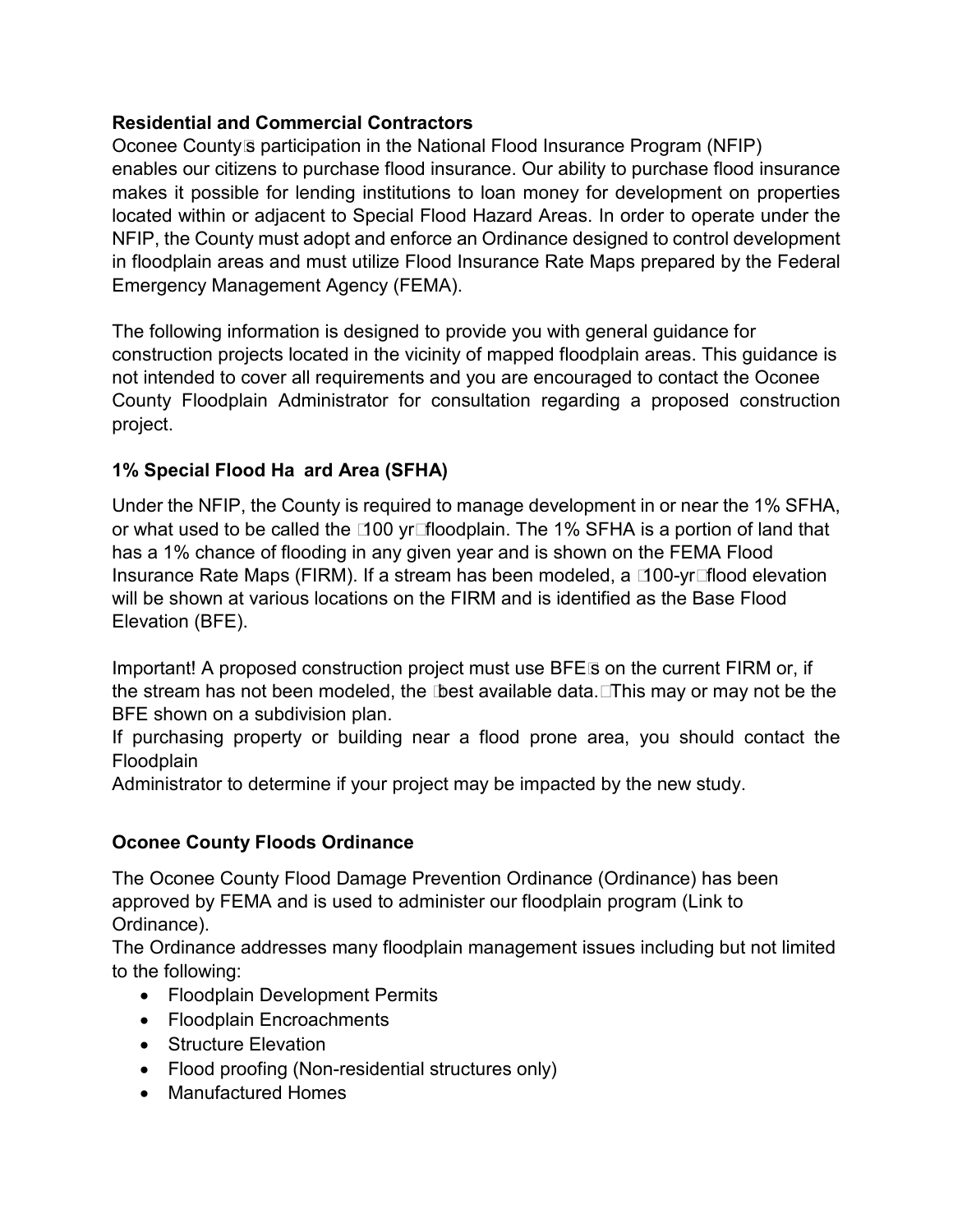## **Residential and Commercial Contractors**

Oconee County's participation in the National Flood Insurance Program (NFIP) enables our citizens to purchase flood insurance. Our ability to purchase flood insurance makes it possible for lending institutions to loan money for development on properties located within or adjacent to Special Flood Hazard Areas. In order to operate under the NFIP, the County must adopt and enforce an Ordinance designed to control development in floodplain areas and must utilize Flood Insurance Rate Maps prepared by the Federal Emergency Management Agency (FEMA).

The following information is designed to provide you with general guidance for construction projects located in the vicinity of mapped floodplain areas. This guidance is not intended to cover all requirements and you are encouraged to contact the Oconee County Floodplain Administrator for consultation regarding a proposed construction project.

# **1% Special Flood Ha ard Area (SFHA)**

Under the NFIP, the County is required to manage development in or near the 1% SFHA, or what used to be called the "100 yr" floodplain. The 1% SFHA is a portion of land that has a 1% chance of flooding in any given year and is shown on the FEMA Flood Insurance Rate Maps (FIRM). If a stream has been modeled, a "100-yr" flood elevation will be shown at various locations on the FIRM and is identified as the Base Flood Elevation (BFE).

Important! A proposed construction project must use BFE's on the current FIRM or, if the stream has not been modeled, the "best available data." This may or may not be the BFE shown on a subdivision plan.

If purchasing property or building near a flood prone area, you should contact the Floodplain

Administrator to determine if your project may be impacted by the new study.

# **Oconee County Floods Ordinance**

The Oconee County Flood Damage Prevention Ordinance (Ordinance) has been approved by FEMA and is used to administer our floodplain program (Link to Ordinance).

The Ordinance addresses many floodplain management issues including but not limited to the following:

- Floodplain Development Permits
- Floodplain Encroachments
- Structure Elevation
- Flood proofing (Non-residential structures only)
- Manufactured Homes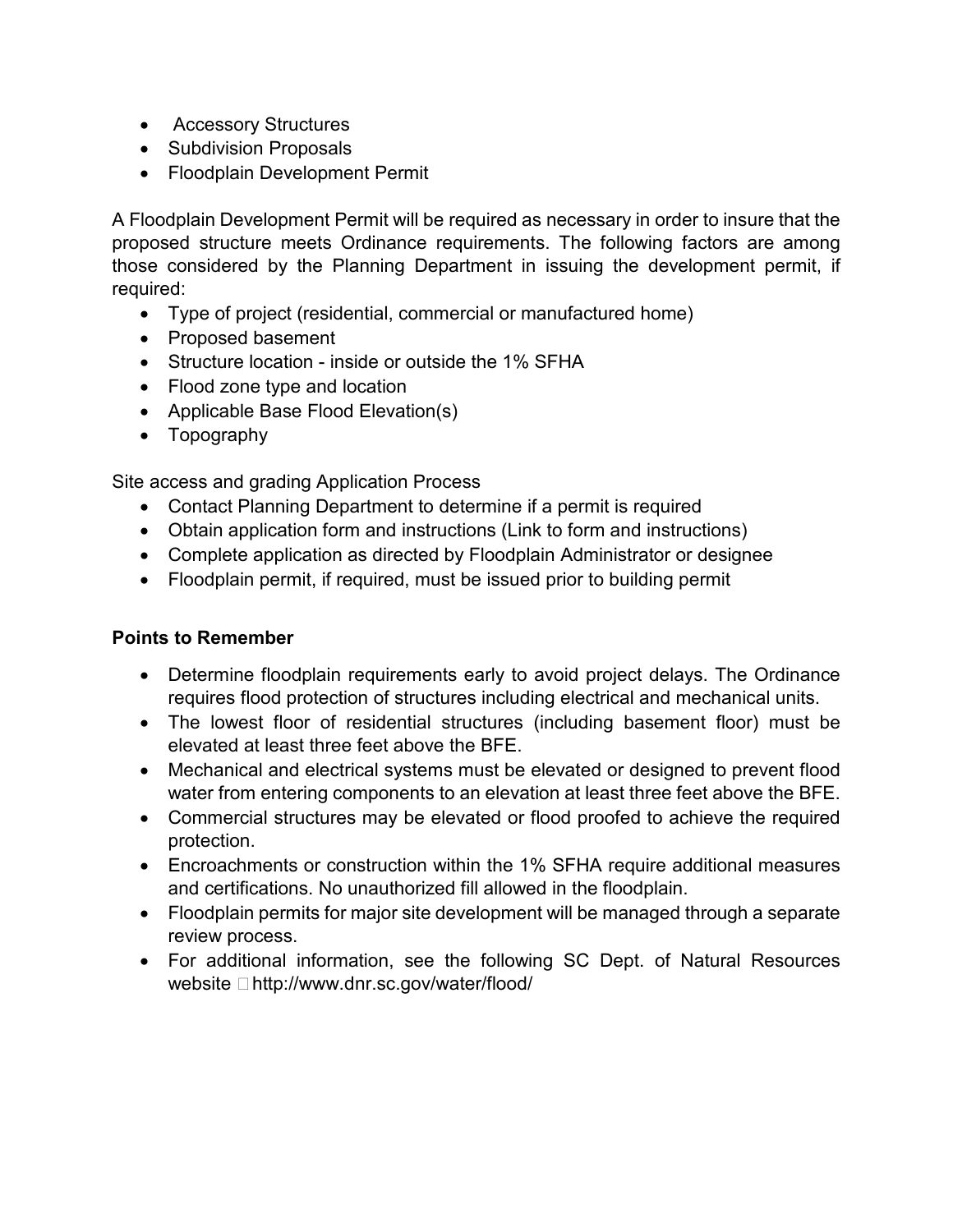- Accessory Structures
- Subdivision Proposals
- Floodplain Development Permit

A Floodplain Development Permit will be required as necessary in order to insure that the proposed structure meets Ordinance requirements. The following factors are among those considered by the Planning Department in issuing the development permit, if required:

- Type of project (residential, commercial or manufactured home)
- Proposed basement
- Structure location inside or outside the 1% SFHA
- Flood zone type and location
- Applicable Base Flood Elevation(s)
- Topography

Site access and grading Application Process

- Contact Planning Department to determine if a permit is required
- Obtain application form and instructions (Link to form and instructions)
- Complete application as directed by Floodplain Administrator or designee
- Floodplain permit, if required, must be issued prior to building permit

#### **Points to Remember**

- Determine floodplain requirements early to avoid project delays. The Ordinance requires flood protection of structures including electrical and mechanical units.
- The lowest floor of residential structures (including basement floor) must be elevated at least three feet above the BFE.
- Mechanical and electrical systems must be elevated or designed to prevent flood water from entering components to an elevation at least three feet above the BFE.
- Commercial structures may be elevated or flood proofed to achieve the required protection.
- Encroachments or construction within the 1% SFHA require additional measures and certifications. No unauthorized fill allowed in the floodplain.
- Floodplain permits for major site development will be managed through a separate review process.
- For additional information, see the following SC Dept. of Natural Resources website – http://www.dnr.sc.gov/water/flood/